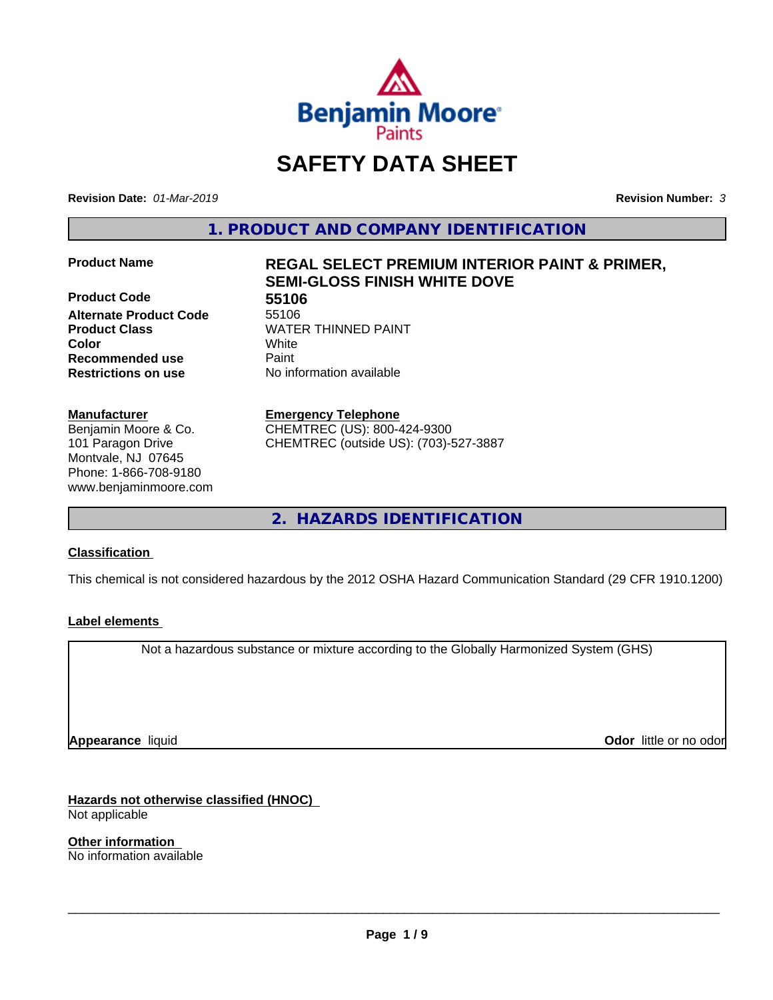

# **SAFETY DATA SHEET**

**Revision Date:** *01-Mar-2019* **Revision Number:** *3*

**1. PRODUCT AND COMPANY IDENTIFICATION**

**Product Code 655106**<br> **Alternate Product Code** 55106 **Alternate Product Code Product Class WATER THINNED PAINT Recommended use** Paint **Restrictions on use** No information available

#### **Manufacturer**

Benjamin Moore & Co. 101 Paragon Drive Montvale, NJ 07645 Phone: 1-866-708-9180 www.benjaminmoore.com

# **Product Name REGAL SELECT PREMIUM INTERIOR PAINT & PRIMER, SEMI-GLOSS FINISH WHITE DOVE**

**Color** White

**Emergency Telephone**

CHEMTREC (US): 800-424-9300 CHEMTREC (outside US): (703)-527-3887

**2. HAZARDS IDENTIFICATION**

# **Classification**

This chemical is not considered hazardous by the 2012 OSHA Hazard Communication Standard (29 CFR 1910.1200)

# **Label elements**

Not a hazardous substance or mixture according to the Globally Harmonized System (GHS)

**Appearance** liquid

**Odor** little or no odor

**Hazards not otherwise classified (HNOC)** Not applicable

**Other information** No information available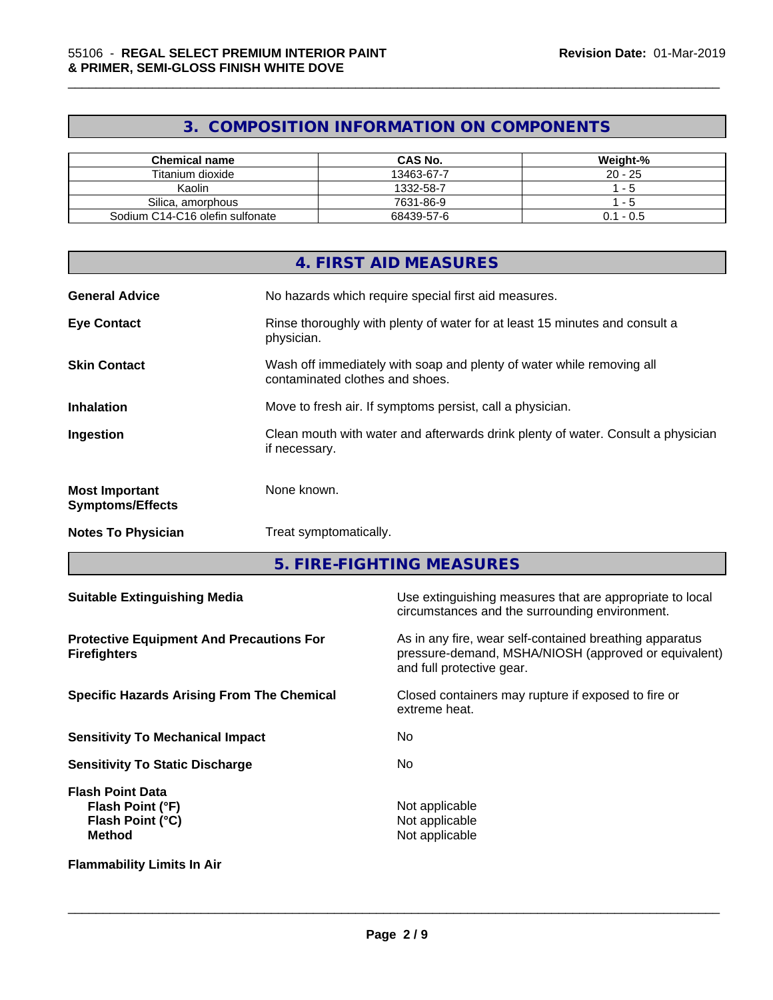# **3. COMPOSITION INFORMATION ON COMPONENTS**

\_\_\_\_\_\_\_\_\_\_\_\_\_\_\_\_\_\_\_\_\_\_\_\_\_\_\_\_\_\_\_\_\_\_\_\_\_\_\_\_\_\_\_\_\_\_\_\_\_\_\_\_\_\_\_\_\_\_\_\_\_\_\_\_\_\_\_\_\_\_\_\_\_\_\_\_\_\_\_\_\_\_\_\_\_\_\_\_\_\_\_\_\_

| Chemical name                   | <b>CAS No.</b> | Weight-%    |
|---------------------------------|----------------|-------------|
| Titanium dioxide                | 13463-67-7     | $20 - 25$   |
| Kaolin                          | 1332-58-7      | - 5         |
| Silica, amorphous               | 7631-86-9      | - 5         |
| Sodium C14-C16 olefin sulfonate | 68439-57-6     | $0.1 - 0.5$ |

|                                                  | 4. FIRST AID MEASURES                                                                                    |
|--------------------------------------------------|----------------------------------------------------------------------------------------------------------|
| <b>General Advice</b>                            | No hazards which require special first aid measures.                                                     |
| <b>Eye Contact</b>                               | Rinse thoroughly with plenty of water for at least 15 minutes and consult a<br>physician.                |
| <b>Skin Contact</b>                              | Wash off immediately with soap and plenty of water while removing all<br>contaminated clothes and shoes. |
| <b>Inhalation</b>                                | Move to fresh air. If symptoms persist, call a physician.                                                |
| Ingestion                                        | Clean mouth with water and afterwards drink plenty of water. Consult a physician<br>if necessary.        |
| <b>Most Important</b><br><b>Symptoms/Effects</b> | None known.                                                                                              |
| <b>Notes To Physician</b>                        | Treat symptomatically.                                                                                   |
|                                                  |                                                                                                          |

**5. FIRE-FIGHTING MEASURES**

| <b>Suitable Extinguishing Media</b>                                              | Use extinguishing measures that are appropriate to local<br>circumstances and the surrounding environment.                                   |
|----------------------------------------------------------------------------------|----------------------------------------------------------------------------------------------------------------------------------------------|
| <b>Protective Equipment And Precautions For</b><br><b>Firefighters</b>           | As in any fire, wear self-contained breathing apparatus<br>pressure-demand, MSHA/NIOSH (approved or equivalent)<br>and full protective gear. |
| <b>Specific Hazards Arising From The Chemical</b>                                | Closed containers may rupture if exposed to fire or<br>extreme heat.                                                                         |
| <b>Sensitivity To Mechanical Impact</b>                                          | No.                                                                                                                                          |
| <b>Sensitivity To Static Discharge</b>                                           | No.                                                                                                                                          |
| <b>Flash Point Data</b><br>Flash Point (°F)<br>Flash Point (°C)<br><b>Method</b> | Not applicable<br>Not applicable<br>Not applicable                                                                                           |
| <b>Flammability Limits In Air</b>                                                |                                                                                                                                              |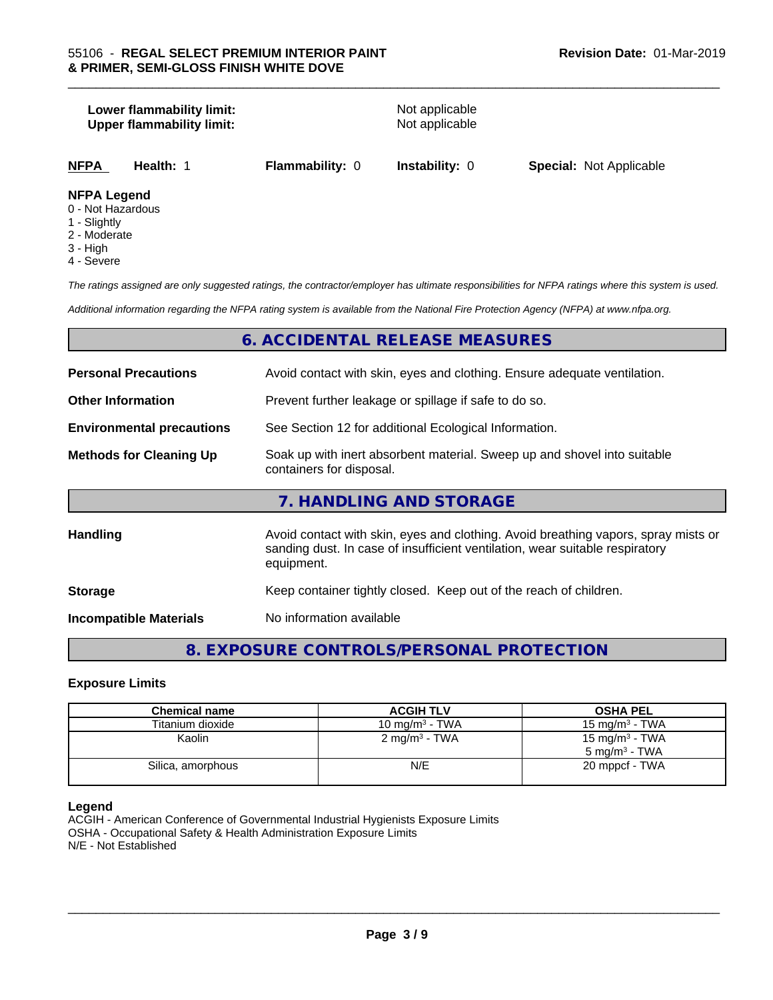# **Lower flammability limit:**<br> **Upper flammability limit:**<br>
Upper flammability limit:<br>
Not applicable **Upper flammability limit: NFPA Health:** 1 **Flammability:** 0 **Instability:** 0 **Special:** Not Applicable **NFPA Legend**

- 0 Not Hazardous
- 1 Slightly
- 2 Moderate
- 3 High
- 4 Severe

*The ratings assigned are only suggested ratings, the contractor/employer has ultimate responsibilities for NFPA ratings where this system is used.*

\_\_\_\_\_\_\_\_\_\_\_\_\_\_\_\_\_\_\_\_\_\_\_\_\_\_\_\_\_\_\_\_\_\_\_\_\_\_\_\_\_\_\_\_\_\_\_\_\_\_\_\_\_\_\_\_\_\_\_\_\_\_\_\_\_\_\_\_\_\_\_\_\_\_\_\_\_\_\_\_\_\_\_\_\_\_\_\_\_\_\_\_\_

*Additional information regarding the NFPA rating system is available from the National Fire Protection Agency (NFPA) at www.nfpa.org.*

# **6. ACCIDENTAL RELEASE MEASURES**

| <b>Personal Precautions</b>      | Avoid contact with skin, eyes and clothing. Ensure adequate ventilation.                                                                                                         |
|----------------------------------|----------------------------------------------------------------------------------------------------------------------------------------------------------------------------------|
| <b>Other Information</b>         | Prevent further leakage or spillage if safe to do so.                                                                                                                            |
| <b>Environmental precautions</b> | See Section 12 for additional Ecological Information.                                                                                                                            |
| <b>Methods for Cleaning Up</b>   | Soak up with inert absorbent material. Sweep up and shovel into suitable<br>containers for disposal.                                                                             |
|                                  | 7. HANDLING AND STORAGE                                                                                                                                                          |
| Handling                         | Avoid contact with skin, eyes and clothing. Avoid breathing vapors, spray mists or<br>sanding dust. In case of insufficient ventilation, wear suitable respiratory<br>equipment. |
| <b>Storage</b>                   | Keep container tightly closed. Keep out of the reach of children.                                                                                                                |
| <b>Incompatible Materials</b>    | No information available                                                                                                                                                         |

# **8. EXPOSURE CONTROLS/PERSONAL PROTECTION**

#### **Exposure Limits**

| <b>Chemical name</b> | <b>ACGIH TLV</b>         | <b>OSHA PEL</b>            |
|----------------------|--------------------------|----------------------------|
| Titanium dioxide     | 10 mg/m $3$ - TWA        | 15 mg/m $3$ - TWA          |
| Kaolin               | $2 \text{ mg/m}^3$ - TWA | 15 mg/m <sup>3</sup> - TWA |
|                      |                          | $5 \text{ ma/m}^3$ - TWA   |
| Silica, amorphous    | N/E                      | 20 mppcf - TWA             |
|                      |                          |                            |

#### **Legend**

ACGIH - American Conference of Governmental Industrial Hygienists Exposure Limits OSHA - Occupational Safety & Health Administration Exposure Limits N/E - Not Established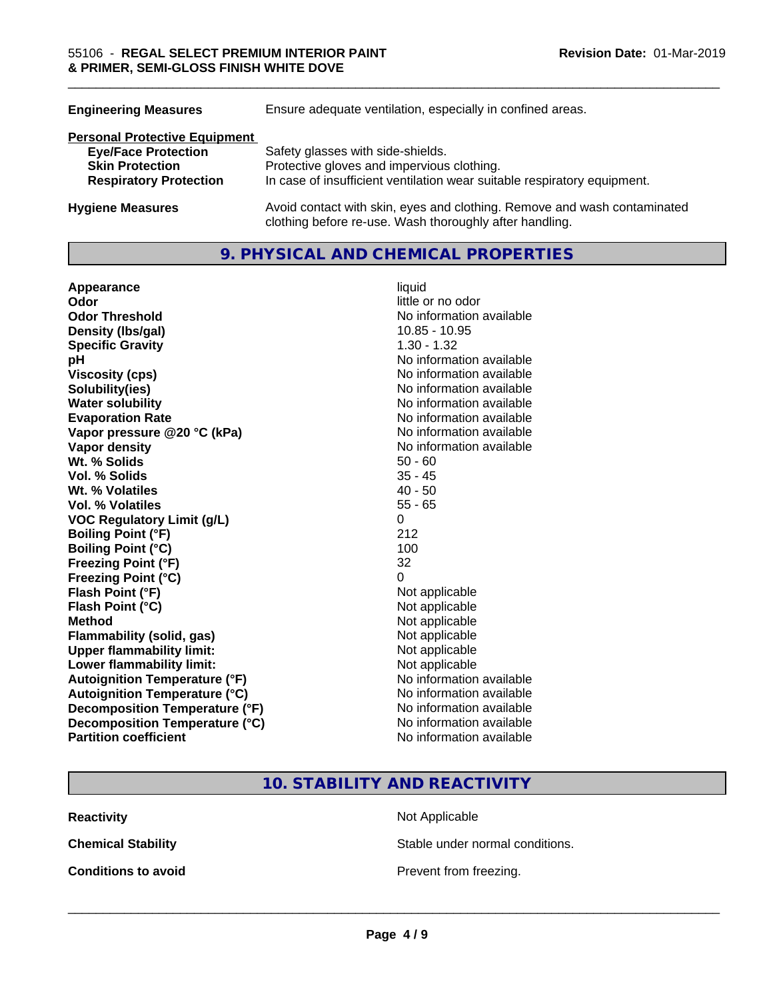| <b>Engineering Measures</b>          | Ensure adequate ventilation, especially in confined areas.                                                                          |
|--------------------------------------|-------------------------------------------------------------------------------------------------------------------------------------|
| <b>Personal Protective Equipment</b> |                                                                                                                                     |
| <b>Eye/Face Protection</b>           | Safety glasses with side-shields.                                                                                                   |
| <b>Skin Protection</b>               | Protective gloves and impervious clothing.                                                                                          |
| <b>Respiratory Protection</b>        | In case of insufficient ventilation wear suitable respiratory equipment.                                                            |
| <b>Hygiene Measures</b>              | Avoid contact with skin, eyes and clothing. Remove and wash contaminated<br>clothing before re-use. Wash thoroughly after handling. |

# **9. PHYSICAL AND CHEMICAL PROPERTIES**

| Appearance                           | liquid                   |
|--------------------------------------|--------------------------|
| Odor                                 | little or no odor        |
| <b>Odor Threshold</b>                | No information available |
| Density (Ibs/gal)                    | 10.85 - 10.95            |
| <b>Specific Gravity</b>              | $1.30 - 1.32$            |
| pH                                   | No information available |
| <b>Viscosity (cps)</b>               | No information available |
| Solubility(ies)                      | No information available |
| <b>Water solubility</b>              | No information available |
| <b>Evaporation Rate</b>              | No information available |
| Vapor pressure @20 °C (kPa)          | No information available |
| Vapor density                        | No information available |
| Wt. % Solids                         | $50 - 60$                |
| <b>Vol. % Solids</b>                 | $35 - 45$                |
| Wt. % Volatiles                      | $40 - 50$                |
| <b>Vol. % Volatiles</b>              | $55 - 65$                |
| <b>VOC Regulatory Limit (g/L)</b>    | 0                        |
| <b>Boiling Point (°F)</b>            | 212                      |
| <b>Boiling Point (°C)</b>            | 100                      |
| <b>Freezing Point (°F)</b>           | 32                       |
| Freezing Point (°C)                  | 0                        |
| Flash Point (°F)                     | Not applicable           |
| Flash Point (°C)                     | Not applicable           |
| <b>Method</b>                        | Not applicable           |
| <b>Flammability (solid, gas)</b>     | Not applicable           |
| <b>Upper flammability limit:</b>     | Not applicable           |
| Lower flammability limit:            | Not applicable           |
| <b>Autoignition Temperature (°F)</b> | No information available |
| <b>Autoignition Temperature (°C)</b> | No information available |
| Decomposition Temperature (°F)       | No information available |
| Decomposition Temperature (°C)       | No information available |
| <b>Partition coefficient</b>         | No information available |

\_\_\_\_\_\_\_\_\_\_\_\_\_\_\_\_\_\_\_\_\_\_\_\_\_\_\_\_\_\_\_\_\_\_\_\_\_\_\_\_\_\_\_\_\_\_\_\_\_\_\_\_\_\_\_\_\_\_\_\_\_\_\_\_\_\_\_\_\_\_\_\_\_\_\_\_\_\_\_\_\_\_\_\_\_\_\_\_\_\_\_\_\_

# **10. STABILITY AND REACTIVITY**

**Reactivity** Not Applicable

**Chemical Stability Stable under normal conditions.** 

**Conditions to avoid Conditions to avoid Prevent from freezing.**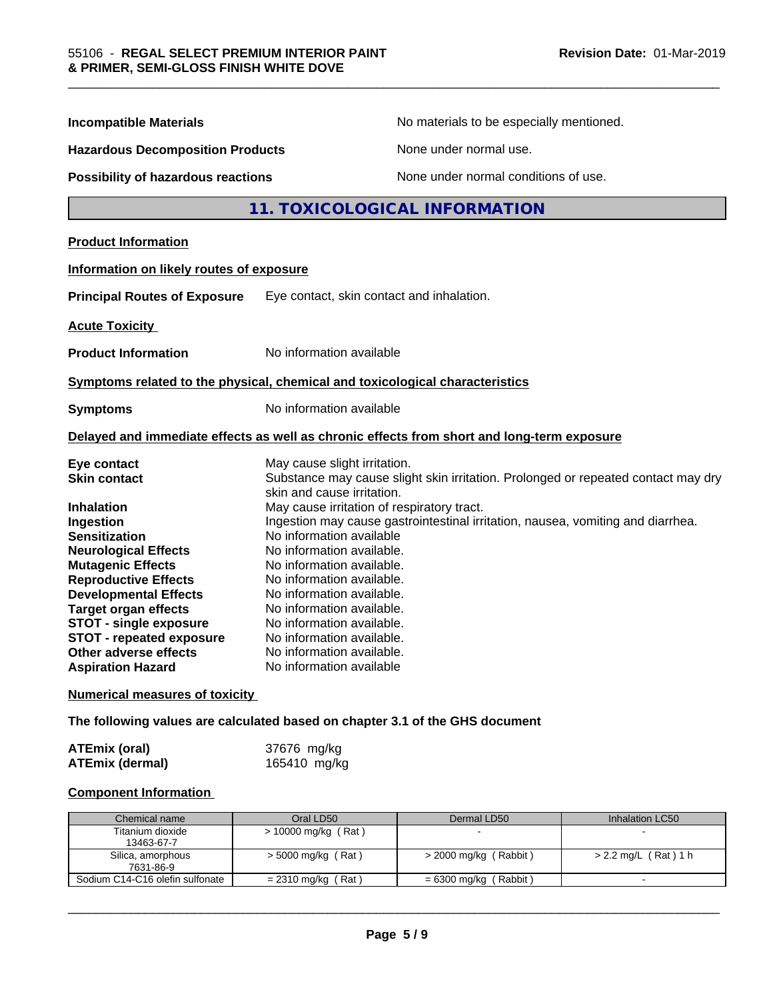| <b>Incompatible Materials</b>                            | No materials to be especially mentioned.                                                   |
|----------------------------------------------------------|--------------------------------------------------------------------------------------------|
| <b>Hazardous Decomposition Products</b>                  | None under normal use.                                                                     |
| Possibility of hazardous reactions                       | None under normal conditions of use.                                                       |
|                                                          | 11. TOXICOLOGICAL INFORMATION                                                              |
| <b>Product Information</b>                               |                                                                                            |
| Information on likely routes of exposure                 |                                                                                            |
| <b>Principal Routes of Exposure</b>                      | Eye contact, skin contact and inhalation.                                                  |
| <b>Acute Toxicity</b>                                    |                                                                                            |
| <b>Product Information</b>                               | No information available                                                                   |
|                                                          | Symptoms related to the physical, chemical and toxicological characteristics               |
|                                                          |                                                                                            |
| <b>Symptoms</b>                                          | No information available                                                                   |
|                                                          | Delayed and immediate effects as well as chronic effects from short and long-term exposure |
| Eye contact                                              | May cause slight irritation.                                                               |
| <b>Skin contact</b>                                      | Substance may cause slight skin irritation. Prolonged or repeated contact may dry          |
|                                                          | skin and cause irritation.                                                                 |
| Inhalation                                               | May cause irritation of respiratory tract.                                                 |
| Ingestion                                                | Ingestion may cause gastrointestinal irritation, nausea, vomiting and diarrhea.            |
| <b>Sensitization</b>                                     | No information available                                                                   |
| <b>Neurological Effects</b>                              | No information available.                                                                  |
| <b>Mutagenic Effects</b>                                 | No information available.                                                                  |
| <b>Reproductive Effects</b>                              | No information available.                                                                  |
| <b>Developmental Effects</b>                             | No information available.                                                                  |
| <b>Target organ effects</b>                              | No information available.                                                                  |
| <b>STOT - single exposure</b>                            | No information available.                                                                  |
| <b>STOT - repeated exposure</b><br>Other adverse effects | No information available.<br>No information available.                                     |

\_\_\_\_\_\_\_\_\_\_\_\_\_\_\_\_\_\_\_\_\_\_\_\_\_\_\_\_\_\_\_\_\_\_\_\_\_\_\_\_\_\_\_\_\_\_\_\_\_\_\_\_\_\_\_\_\_\_\_\_\_\_\_\_\_\_\_\_\_\_\_\_\_\_\_\_\_\_\_\_\_\_\_\_\_\_\_\_\_\_\_\_\_

# **The following values are calculated based on chapter 3.1 of the GHS document**

| <b>ATEmix (oral)</b>   | 37676 mg/kg  |
|------------------------|--------------|
| <b>ATEmix (dermal)</b> | 165410 mg/kg |

# **Component Information**

| Chemical name                   | Oral LD50            | Dermal LD50             | Inhalation LC50      |
|---------------------------------|----------------------|-------------------------|----------------------|
| Titanium dioxide                | > 10000 mg/kg (Rat)  |                         |                      |
| 13463-67-7                      |                      |                         |                      |
| Silica, amorphous               | $>$ 5000 mg/kg (Rat) | $>$ 2000 mg/kg (Rabbit) | > 2.2 mg/L (Rat) 1 h |
| 7631-86-9                       |                      |                         |                      |
| Sodium C14-C16 olefin sulfonate | $= 2310$ mg/kg (Rat) | = 6300 mg/kg ( Rabbit ) |                      |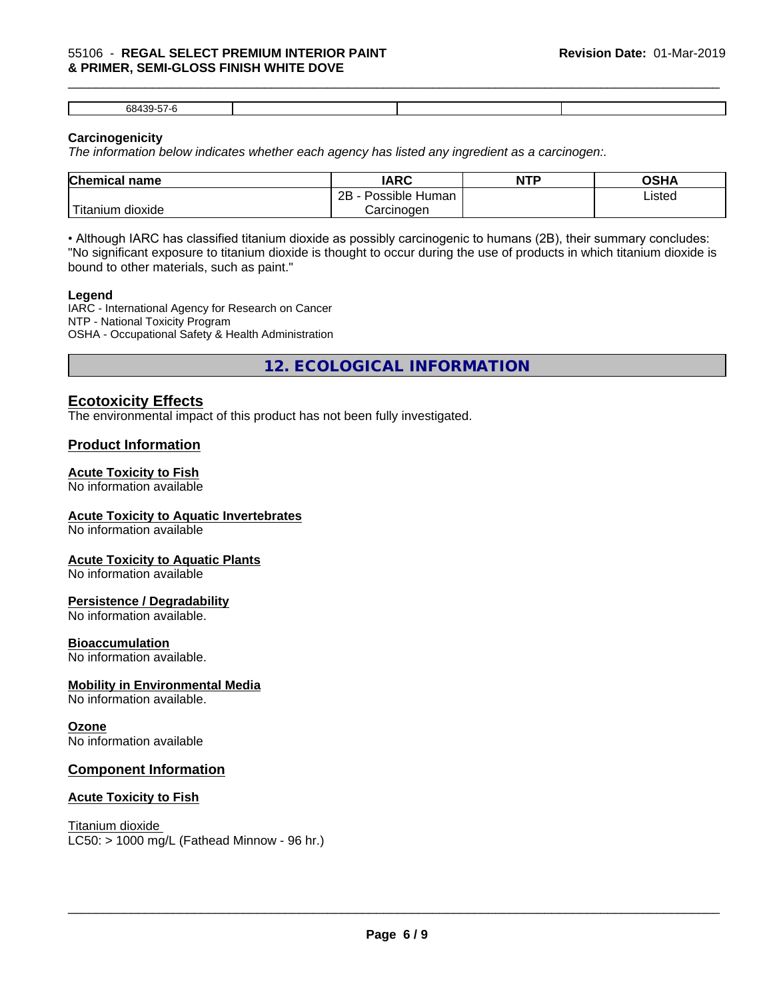#### \_\_\_\_\_\_\_\_\_\_\_\_\_\_\_\_\_\_\_\_\_\_\_\_\_\_\_\_\_\_\_\_\_\_\_\_\_\_\_\_\_\_\_\_\_\_\_\_\_\_\_\_\_\_\_\_\_\_\_\_\_\_\_\_\_\_\_\_\_\_\_\_\_\_\_\_\_\_\_\_\_\_\_\_\_\_\_\_\_\_\_\_\_ 55106 - **REGAL SELECT PREMIUM INTERIOR PAINT & PRIMER, SEMI-GLOSS FINISH WHITE DOVE**

68439-57-6

# **Carcinogenicity**

*The information below indicateswhether each agency has listed any ingredient as a carcinogen:.*

| <b>Chemical name</b>                      | <b>IARC</b>                       | <b>NTP</b> | OSHA   |  |
|-------------------------------------------|-----------------------------------|------------|--------|--|
|                                           | . .<br>2B<br>Possible<br>∖ Human∶ |            | Listed |  |
| $\mathbf{r}$<br>dioxide<br><b>itanium</b> | Carcinogen                        |            |        |  |

• Although IARC has classified titanium dioxide as possibly carcinogenic to humans (2B), their summary concludes: "No significant exposure to titanium dioxide is thought to occur during the use of products in which titanium dioxide is bound to other materials, such as paint."

#### **Legend**

IARC - International Agency for Research on Cancer NTP - National Toxicity Program OSHA - Occupational Safety & Health Administration

**12. ECOLOGICAL INFORMATION**

# **Ecotoxicity Effects**

The environmental impact of this product has not been fully investigated.

# **Product Information**

#### **Acute Toxicity to Fish**

No information available

#### **Acute Toxicity to Aquatic Invertebrates**

No information available

#### **Acute Toxicity to Aquatic Plants**

No information available

#### **Persistence / Degradability**

No information available.

#### **Bioaccumulation**

No information available.

#### **Mobility in Environmental Media**

No information available.

#### **Ozone**

No information available

# **Component Information**

#### **Acute Toxicity to Fish**

Titanium dioxide  $LC50:$  > 1000 mg/L (Fathead Minnow - 96 hr.)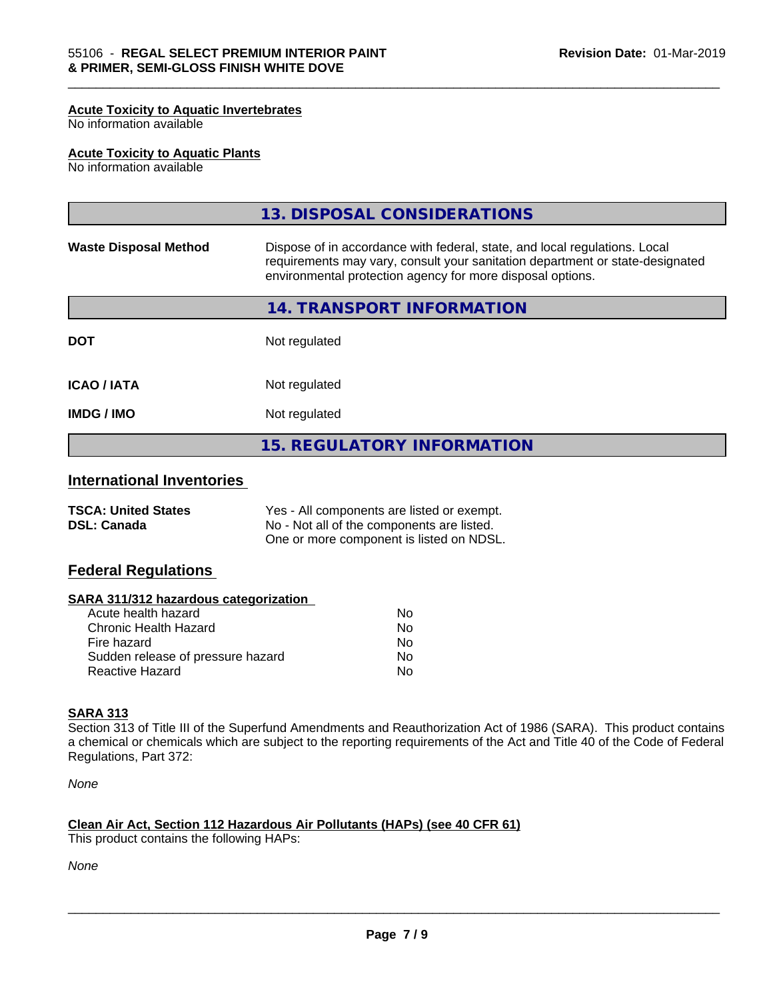#### **Acute Toxicity to Aquatic Invertebrates**

No information available

#### **Acute Toxicity to Aquatic Plants**

No information available

|                              | <b>15. REGULATORY INFORMATION</b>                                                                                                                                                                                         |
|------------------------------|---------------------------------------------------------------------------------------------------------------------------------------------------------------------------------------------------------------------------|
| <b>IMDG / IMO</b>            | Not regulated                                                                                                                                                                                                             |
| <b>ICAO/IATA</b>             | Not regulated                                                                                                                                                                                                             |
| <b>DOT</b>                   | Not regulated                                                                                                                                                                                                             |
|                              | 14. TRANSPORT INFORMATION                                                                                                                                                                                                 |
| <b>Waste Disposal Method</b> | Dispose of in accordance with federal, state, and local regulations. Local<br>requirements may vary, consult your sanitation department or state-designated<br>environmental protection agency for more disposal options. |
|                              | 13. DISPOSAL CONSIDERATIONS                                                                                                                                                                                               |

\_\_\_\_\_\_\_\_\_\_\_\_\_\_\_\_\_\_\_\_\_\_\_\_\_\_\_\_\_\_\_\_\_\_\_\_\_\_\_\_\_\_\_\_\_\_\_\_\_\_\_\_\_\_\_\_\_\_\_\_\_\_\_\_\_\_\_\_\_\_\_\_\_\_\_\_\_\_\_\_\_\_\_\_\_\_\_\_\_\_\_\_\_

# **International Inventories**

| <b>TSCA: United States</b> | Yes - All components are listed or exempt. |
|----------------------------|--------------------------------------------|
| <b>DSL: Canada</b>         | No - Not all of the components are listed. |
|                            | One or more component is listed on NDSL.   |

# **Federal Regulations**

#### **SARA 311/312 hazardous categorization**

| Acute health hazard               | Nο |
|-----------------------------------|----|
| Chronic Health Hazard             | Nο |
| Fire hazard                       | N٥ |
| Sudden release of pressure hazard | Nο |
| Reactive Hazard                   | N٥ |

# **SARA 313**

Section 313 of Title III of the Superfund Amendments and Reauthorization Act of 1986 (SARA). This product contains a chemical or chemicals which are subject to the reporting requirements of the Act and Title 40 of the Code of Federal Regulations, Part 372:

*None*

# **Clean Air Act,Section 112 Hazardous Air Pollutants (HAPs) (see 40 CFR 61)**

This product contains the following HAPs:

*None*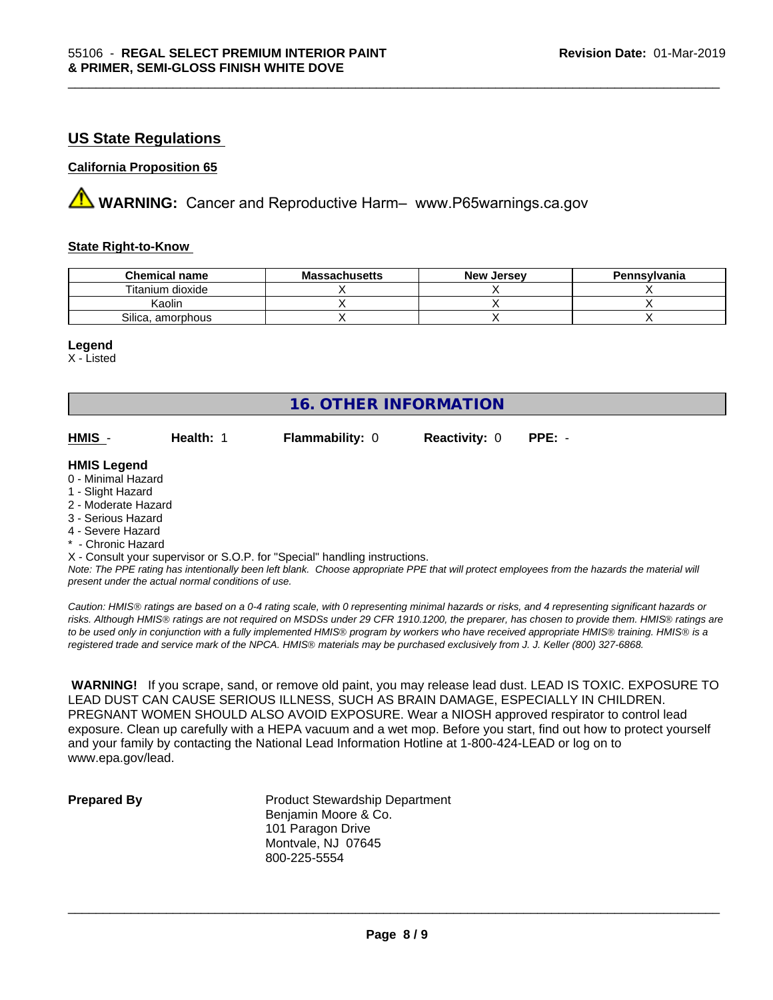# **US State Regulations**

#### **California Proposition 65**

**AVIMARNING:** Cancer and Reproductive Harm– www.P65warnings.ca.gov

### **State Right-to-Know**

| <b>Chemical name</b> | <b>Massachusetts</b> | . Jersev<br><b>New</b> | Pennsylvania |
|----------------------|----------------------|------------------------|--------------|
| Titanium dioxide     |                      |                        |              |
| Kaolin               |                      |                        |              |
| Silica, amorphous    |                      |                        |              |

\_\_\_\_\_\_\_\_\_\_\_\_\_\_\_\_\_\_\_\_\_\_\_\_\_\_\_\_\_\_\_\_\_\_\_\_\_\_\_\_\_\_\_\_\_\_\_\_\_\_\_\_\_\_\_\_\_\_\_\_\_\_\_\_\_\_\_\_\_\_\_\_\_\_\_\_\_\_\_\_\_\_\_\_\_\_\_\_\_\_\_\_\_

#### **Legend**

X - Listed

| <b>16. OTHER INFORMATION</b> |           |                                                                            |                      |                                                                                                                                                                                                                                |  |
|------------------------------|-----------|----------------------------------------------------------------------------|----------------------|--------------------------------------------------------------------------------------------------------------------------------------------------------------------------------------------------------------------------------|--|
| HMIS -                       | Health: 1 | <b>Flammability: 0</b>                                                     | <b>Reactivity: 0</b> | $PPE: -$                                                                                                                                                                                                                       |  |
| <b>HMIS Legend</b>           |           |                                                                            |                      |                                                                                                                                                                                                                                |  |
| 0 - Minimal Hazard           |           |                                                                            |                      |                                                                                                                                                                                                                                |  |
| 1 - Slight Hazard            |           |                                                                            |                      |                                                                                                                                                                                                                                |  |
| 2 - Moderate Hazard          |           |                                                                            |                      |                                                                                                                                                                                                                                |  |
| 3 - Serious Hazard           |           |                                                                            |                      |                                                                                                                                                                                                                                |  |
| 4 - Severe Hazard            |           |                                                                            |                      |                                                                                                                                                                                                                                |  |
| * - Chronic Hazard           |           |                                                                            |                      |                                                                                                                                                                                                                                |  |
|                              |           | X - Consult your supervisor or S.O.P. for "Special" handling instructions. |                      |                                                                                                                                                                                                                                |  |
|                              |           |                                                                            |                      | Alexa The ODE setting the throughout the contribution of the community ODE derival securities result the first description of the delight of the setting of the setting of the setting of the setting of the setting of the se |  |

*Note: The PPE rating has intentionally been left blank. Choose appropriate PPE that will protect employees from the hazards the material will present under the actual normal conditions of use.*

*Caution: HMISÒ ratings are based on a 0-4 rating scale, with 0 representing minimal hazards or risks, and 4 representing significant hazards or risks. Although HMISÒ ratings are not required on MSDSs under 29 CFR 1910.1200, the preparer, has chosen to provide them. HMISÒ ratings are to be used only in conjunction with a fully implemented HMISÒ program by workers who have received appropriate HMISÒ training. HMISÒ is a registered trade and service mark of the NPCA. HMISÒ materials may be purchased exclusively from J. J. Keller (800) 327-6868.*

 **WARNING!** If you scrape, sand, or remove old paint, you may release lead dust. LEAD IS TOXIC. EXPOSURE TO LEAD DUST CAN CAUSE SERIOUS ILLNESS, SUCH AS BRAIN DAMAGE, ESPECIALLY IN CHILDREN. PREGNANT WOMEN SHOULD ALSO AVOID EXPOSURE.Wear a NIOSH approved respirator to control lead exposure. Clean up carefully with a HEPA vacuum and a wet mop. Before you start, find out how to protect yourself and your family by contacting the National Lead Information Hotline at 1-800-424-LEAD or log on to www.epa.gov/lead.

**Prepared By** Product Stewardship Department Benjamin Moore & Co. 101 Paragon Drive Montvale, NJ 07645 800-225-5554